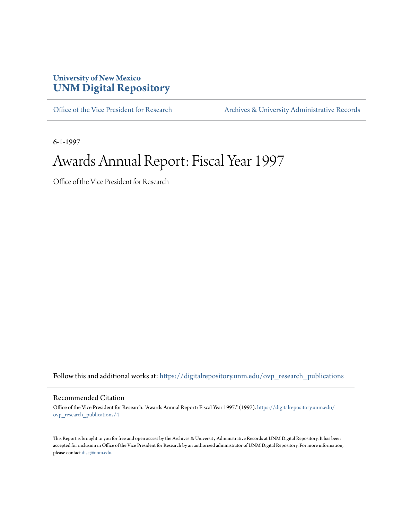#### **University of New Mexico [UNM Digital Repository](https://digitalrepository.unm.edu?utm_source=digitalrepository.unm.edu%2Fovp_research_publications%2F4&utm_medium=PDF&utm_campaign=PDFCoverPages)**

[Office of the Vice President for Research](https://digitalrepository.unm.edu/ovp_research_publications?utm_source=digitalrepository.unm.edu%2Fovp_research_publications%2F4&utm_medium=PDF&utm_campaign=PDFCoverPages) [Archives & University Administrative Records](https://digitalrepository.unm.edu/archives?utm_source=digitalrepository.unm.edu%2Fovp_research_publications%2F4&utm_medium=PDF&utm_campaign=PDFCoverPages)

6-1-1997

### Awards Annual Report: Fiscal Year 1997

Office of the Vice President for Research

Follow this and additional works at: [https://digitalrepository.unm.edu/ovp\\_research\\_publications](https://digitalrepository.unm.edu/ovp_research_publications?utm_source=digitalrepository.unm.edu%2Fovp_research_publications%2F4&utm_medium=PDF&utm_campaign=PDFCoverPages)

#### Recommended Citation

Office of the Vice President for Research. "Awards Annual Report: Fiscal Year 1997." (1997). [https://digitalrepository.unm.edu/](https://digitalrepository.unm.edu/ovp_research_publications/4?utm_source=digitalrepository.unm.edu%2Fovp_research_publications%2F4&utm_medium=PDF&utm_campaign=PDFCoverPages) [ovp\\_research\\_publications/4](https://digitalrepository.unm.edu/ovp_research_publications/4?utm_source=digitalrepository.unm.edu%2Fovp_research_publications%2F4&utm_medium=PDF&utm_campaign=PDFCoverPages)

This Report is brought to you for free and open access by the Archives & University Administrative Records at UNM Digital Repository. It has been accepted for inclusion in Office of the Vice President for Research by an authorized administrator of UNM Digital Repository. For more information, please contact [disc@unm.edu.](mailto:disc@unm.edu)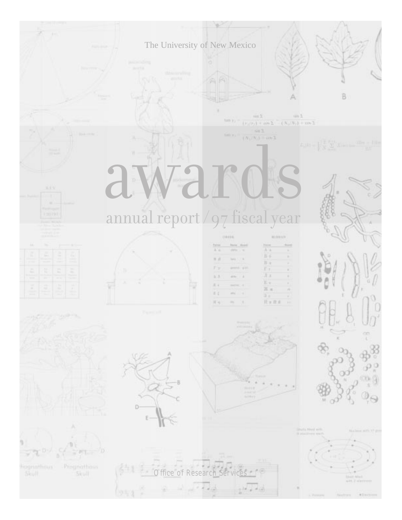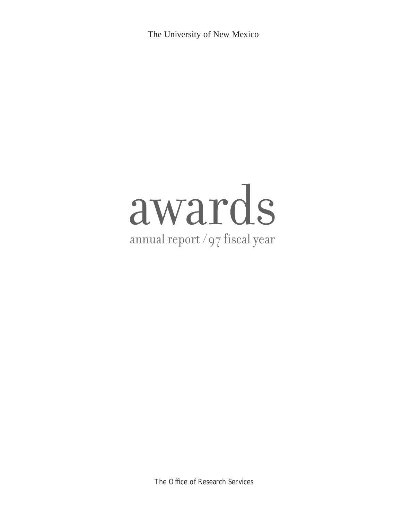The University of New Mexico

# awards annual report /97 fiscal year

The Office of Research Services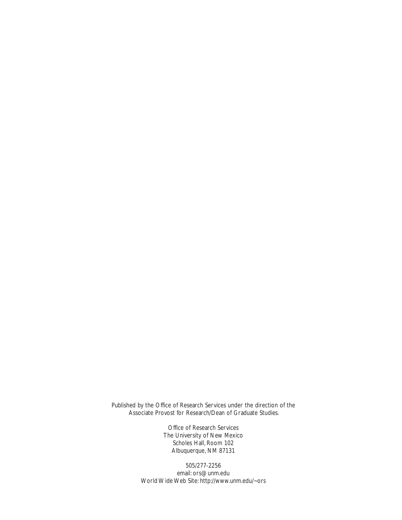Published by the Office of Research Services under the direction of the Associate Provost for Research/Dean of Graduate Studies.

> Office of Research Services The University of New Mexico Scholes Hall, Room 102 Albuquerque, NM 87131

505/277-2256 email: ors@unm.edu World Wide Web Site: http://www.unm.edu/~ors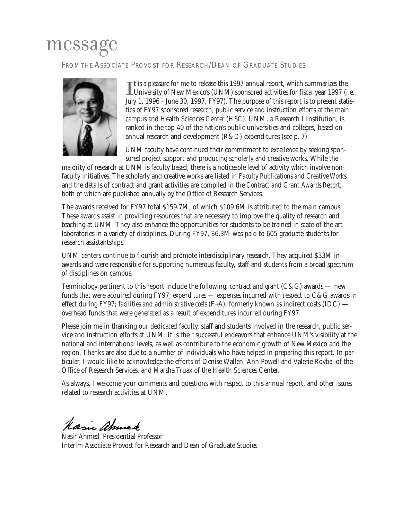### message

FROM THE ASSOCIATE PROVOST FOR RESEARCH/DEAN OF GRADUATE STUDIES



Tt is a pleasure for me to release this 1997 annual report, which summarizes the<br>University of New Mexico's (UNM) sponsored activities for fiscal year 1997 (i.e., **The is a pleasure for me to release this 1997 annual report, which summarizes the** July 1, 1996 - June 30, 1997, FY97). The purpose of this report is to present statistics of FY97 sponsored research, public service and instruction efforts at the main campus and Health Sciences Center (HSC). UNM, a Research I Institution, is ranked in the top 40 of the nation's public universities and colleges, based on annual research and development (R&D) expenditures (see p. 7).

UNM faculty have continued their commitment to excellence by seeking sponsored project support and producing scholarly and creative works. While the

majority of research at UNM is faculty based, there is a noticeable level of activity which involve nonfaculty initiatives. The scholarly and creative works are listed in *Faculty Publications and Creative Works* and the details of contract and grant activities are compiled in the *Contract and Grant Awards Report,* both of which are published annually by the Office of Research Services.

The awards received for FY97 total \$159.7M, of which \$109.6M is attributed to the main campus. These awards assist in providing resources that are necessary to improve the quality of research and teaching at UNM. They also enhance the opportunities for students to be trained in state-of-the-art laboratories in a variety of disciplines. During FY97, \$6.3M was paid to 605 graduate students for research assistantships.

UNM centers continue to flourish and promote interdisciplinary research. They acquired \$33M in awards and were responsible for supporting numerous faculty, staff and students from a broad spectrum of disciplines on campus.

Terminology pertinent to this report include the following: *contract and grant* (C&G) awards — new funds that were acquired during FY97; *expenditures* — expenses incurred with respect to C&G awards in effect during FY97; *facilities and administrative costs* (F+A), formerly known as indirect costs (IDC) overhead funds that were generated as a result of expenditures incurred during FY97.

Please join me in thanking our dedicated faculty, staff and students involved in the research, public service and instruction efforts at UNM. It is their successful endeavors that enhance UNM's visibility at the national and international levels, as well as contribute to the economic growth of New Mexico and the region. Thanks are also due to a number of individuals who have helped in preparing this report. In particular, I would like to acknowledge the efforts of Denise Wallen, Ann Powell and Valerie Roybal of the Office of Research Services, and Marsha Truax of the Health Sciences Center.

As always, I welcome your comments and questions with respect to this annual report, and other issues related to research activities at UNM.

Masic ahmed

Nasir Ahmed, Presidential Professor Interim Associate Provost for Research and Dean of Graduate Studies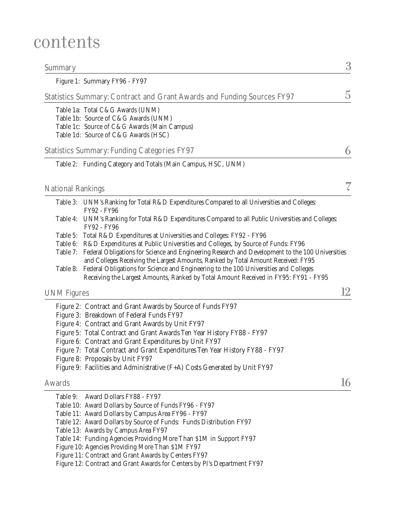### contents

| Summary                  |                                                                                                                                                                                                                                                                                                                                                                                                                                                                                                                                                       | 3  |
|--------------------------|-------------------------------------------------------------------------------------------------------------------------------------------------------------------------------------------------------------------------------------------------------------------------------------------------------------------------------------------------------------------------------------------------------------------------------------------------------------------------------------------------------------------------------------------------------|----|
|                          | Figure 1: Summary FY96 - FY97                                                                                                                                                                                                                                                                                                                                                                                                                                                                                                                         |    |
|                          | Statistics Summary: Contract and Grant Awards and Funding Sources FY97                                                                                                                                                                                                                                                                                                                                                                                                                                                                                | 5  |
|                          | Table 1a: Total C&G Awards (UNM)<br>Table 1b: Source of C&G Awards (UNM)<br>Table 1c: Source of C&G Awards (Main Campus)<br>Table 1d: Source of C&G Awards (HSC)                                                                                                                                                                                                                                                                                                                                                                                      |    |
|                          | <b>Statistics Summary: Funding Categories FY97</b>                                                                                                                                                                                                                                                                                                                                                                                                                                                                                                    |    |
|                          | Table 2: Funding Category and Totals (Main Campus, HSC, UNM)                                                                                                                                                                                                                                                                                                                                                                                                                                                                                          |    |
| <b>National Rankings</b> |                                                                                                                                                                                                                                                                                                                                                                                                                                                                                                                                                       |    |
|                          | Table 3: UNM's Ranking for Total R&D Expenditures Compared to all Universities and Colleges:                                                                                                                                                                                                                                                                                                                                                                                                                                                          |    |
|                          | FY92 - FY96<br>Table 4: UNM's Ranking for Total R&D Expenditures Compared to all Public Universities and Colleges:<br>FY92 - FY96                                                                                                                                                                                                                                                                                                                                                                                                                     |    |
| Table 7:                 | Table 5: Total R&D Expenditures at Universities and Colleges: FY92 - FY96<br>Table 6: R&D Expenditures at Public Universities and Colleges, by Source of Funds: FY96<br>Federal Obligations for Science and Engineering Research and Development to the 100 Universities<br>and Colleges Receiving the Largest Amounts, Ranked by Total Amount Received: FY95<br>Table 8: Federal Obligations for Science and Engineering to the 100 Universities and Colleges<br>Receiving the Largest Amounts, Ranked by Total Amount Received in FY95: FY91 - FY95 |    |
| <b>UNM Figures</b>       |                                                                                                                                                                                                                                                                                                                                                                                                                                                                                                                                                       |    |
|                          | Figure 2: Contract and Grant Awards by Source of Funds FY97<br>Figure 3: Breakdown of Federal Funds FY97<br>Figure 4: Contract and Grant Awards by Unit FY97<br>Figure 5: Total Contract and Grant Awards Ten Year History FY88 - FY97<br>Figure 6: Contract and Grant Expenditures by Unit FY97<br>Figure 7: Total Contract and Grant Expenditures Ten Year History FY88 - FY97<br>Figure 8: Proposals by Unit FY97<br>Figure 9: Facilities and Administrative (F+A) Costs Generated by Unit FY97                                                    |    |
| Awards                   |                                                                                                                                                                                                                                                                                                                                                                                                                                                                                                                                                       | 16 |
| Table 9:                 | Award Dollars FY88 - FY97<br>Table 10: Award Dollars by Source of Funds FY96 - FY97<br>Table 11: Award Dollars by Campus Area FY96 - FY97<br>Table 12: Award Dollars by Source of Funds: Funds Distribution FY97<br>Table 13: Awards by Campus Area FY97<br>Table 14: Funding Agencies Providing More Than \$1M in Support FY97<br>Figure 10: Agencies Providing More Than \$1M FY97<br>Figure 11: Contract and Grant Awards by Centers FY97<br>Figure 12: Contract and Grant Awards for Centers by PI's Department FY97                              |    |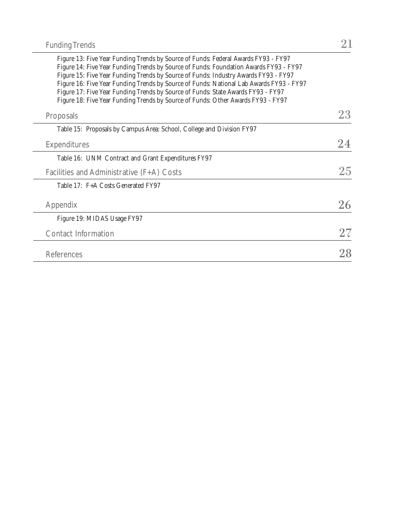| Figure 13: Five Year Funding Trends by Source of Funds: Federal Awards FY93 - FY97                                                                                           |        |
|------------------------------------------------------------------------------------------------------------------------------------------------------------------------------|--------|
| Figure 14: Five Year Funding Trends by Source of Funds: Foundation Awards FY93 - FY97<br>Figure 15: Five Year Funding Trends by Source of Funds: Industry Awards FY93 - FY97 |        |
| Figure 16: Five Year Funding Trends by Source of Funds: National Lab Awards FY93 - FY97                                                                                      |        |
| Figure 17: Five Year Funding Trends by Source of Funds: State Awards FY93 - FY97                                                                                             |        |
| Figure 18: Five Year Funding Trends by Source of Funds: Other Awards FY93 - FY97                                                                                             |        |
| Proposals                                                                                                                                                                    | 23     |
| Table 15: Proposals by Campus Area: School, College and Division FY97                                                                                                        |        |
| <b>Expenditures</b>                                                                                                                                                          | 24     |
| Table 16: UNM Contract and Grant Expenditures FY97                                                                                                                           |        |
| Facilities and Administrative $(F+A)$ Costs                                                                                                                                  | 25     |
| Table 17: F+A Costs Generated FY97                                                                                                                                           |        |
| Appendix                                                                                                                                                                     | 26     |
| Figure 19: MIDAS Usage FY97                                                                                                                                                  |        |
| <b>Contact Information</b>                                                                                                                                                   | $27\,$ |
|                                                                                                                                                                              |        |
| References                                                                                                                                                                   | 28     |
|                                                                                                                                                                              |        |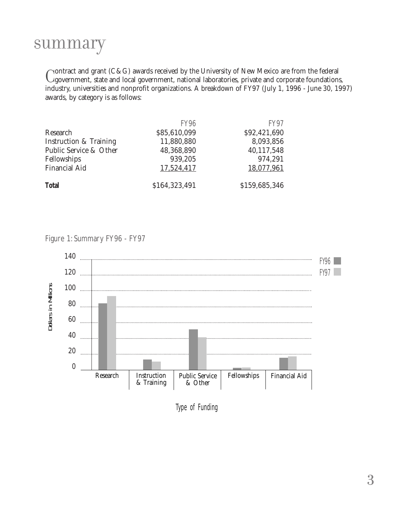### summary

Contract and grant (C&G) awards received by the University of New Mexico are from the federal Conservations, the state and local government, national laboratories, private and corporate foundations, include the main state industry, universities and nonprofit organizations. A breakdown of FY97 (July 1, 1996 - June 30, 1997) awards, by category is as follows:

|                                   | <b>FY96</b>   | <b>FY97</b>   |
|-----------------------------------|---------------|---------------|
| Research                          | \$85,610,099  | \$92,421,690  |
| <b>Instruction &amp; Training</b> | 11,880,880    | 8,093,856     |
| Public Service & Other            | 48,368,890    | 40,117,548    |
| Fellowships                       | 939,205       | 974,291       |
| <b>Financial Aid</b>              | 17,524,417    | 18,077,961    |
| <b>Total</b>                      | \$164,323,491 | \$159,685,346 |

Figure 1: Summary FY96 - FY97



Type of Funding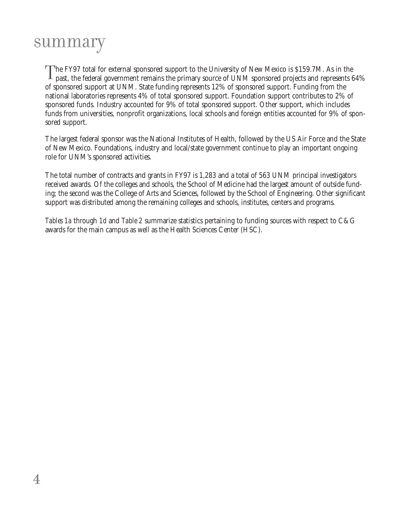### summary

The FY97 total for external sponsored support to the University of New Mexico is \$159.7M. As in the past, the federal government remains the primary source of UNM sponsored projects and represents 64% of sponsored support at UNM. State funding represents 12% of sponsored support. Funding from the national laboratories represents 4% of total sponsored support. Foundation support contributes to 2% of sponsored funds. Industry accounted for 9% of total sponsored support. Other support, which includes funds from universities, nonprofit organizations, local schools and foreign entities accounted for 9% of sponsored support.

The largest federal sponsor was the National Institutes of Health, followed by the US Air Force and the State of New Mexico. Foundations, industry and local/state government continue to play an important ongoing role for UNM's sponsored activities.

The total number of contracts and grants in FY97 is 1,283 and a total of 563 UNM principal investigators received awards. Of the colleges and schools, the School of Medicine had the largest amount of outside funding; the second was the College of Arts and Sciences, followed by the School of Engineering. Other significant support was distributed among the remaining colleges and schools, institutes, centers and programs.

*Tables 1a* through *1d* and *Table 2* summarize statistics pertaining to funding sources with respect to C&G awards for the main campus as well as the Health Sciences Center (HSC).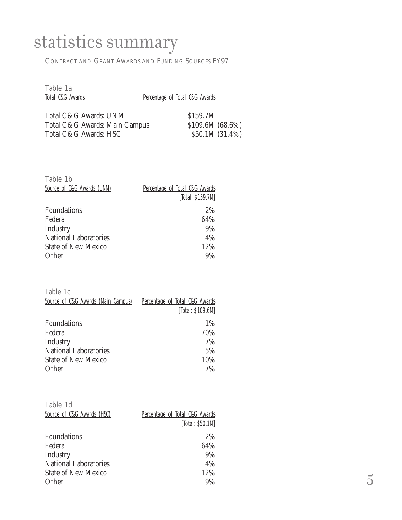## statistics summary

CONTRACT AND GRANT AWARDS AND FUNDING SOURCES FY97

| Table 1a<br>Total C&G Awards  | Percentage of Total C&G Awards |
|-------------------------------|--------------------------------|
| Total C&G Awards: UNM         | \$159.7M                       |
| Total C&G Awards: Main Campus | $$109.6M~(68.6\%)$             |
| Total C&G Awards: HSC         | \$50.1M (31.4%)                |

| Table 1b                     |                                |
|------------------------------|--------------------------------|
| Source of C&G Awards (UNM)   | Percentage of Total C&G Awards |
|                              | [Total: \$159.7M]              |
| Foundations                  | 2%                             |
| Federal                      | 64%                            |
| Industry                     | 9%                             |
| <b>National Laboratories</b> | 4%                             |
| <b>State of New Mexico</b>   | 12%                            |
| Other                        | 9%                             |

| Table 1c                           |                                |
|------------------------------------|--------------------------------|
| Source of C&G Awards (Main Campus) | Percentage of Total C&G Awards |
|                                    | [Total: \$109.6M]              |
| Foundations                        | 1%                             |
| Federal                            | 70%                            |
| Industry                           | 7%                             |
| <b>National Laboratories</b>       | 5%                             |
| <b>State of New Mexico</b>         | 10%                            |
| Other                              | 7%                             |

| Table 1d                     |                                |                |
|------------------------------|--------------------------------|----------------|
| Source of C&G Awards (HSC)   | Percentage of Total C&G Awards |                |
|                              | [Total: \$50.1M]               |                |
| Foundations                  | 2%                             |                |
| Federal                      | 64%                            |                |
| Industry                     | 9%                             |                |
| <b>National Laboratories</b> | 4%                             |                |
| <b>State of New Mexico</b>   | 12%                            |                |
| Other                        | 9%                             | $\overline{5}$ |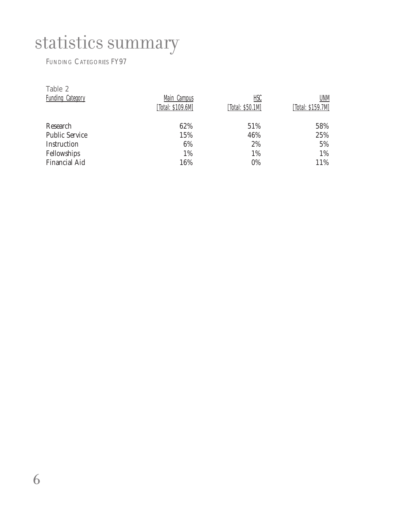## statistics summary

#### FUNDING CATEGORIES FY97

| Table 2<br><b>Funding Category</b> | Main Campus<br>[Total: \$109.6M] | <u>HSC</u><br>[Total: \$50.1M] | UNM<br>[Total: \$159.7M] |
|------------------------------------|----------------------------------|--------------------------------|--------------------------|
| Research                           | 62%                              | 51%                            | 58%                      |
| <b>Public Service</b>              | 15%                              | 46%                            | 25%                      |
| Instruction                        | 6%                               | 2%                             | 5%                       |
| Fellowships                        | 1%                               | 1%                             | 1%                       |
| <b>Financial Aid</b>               | 16%                              | 0%                             | 11%                      |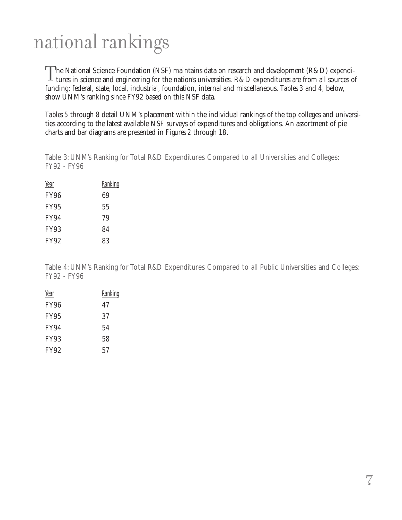## national rankings

The National Science Foundation (NSF) maintains data on research and development (R&D) expenditures in science and engineering for the nation's universities. R&D expenditures are from all sources of funding: federal, state, local, industrial, foundation, internal and miscellaneous. *Tables 3* and *4,* below, show UNM's ranking since FY92 based on this NSF data.

*Tables 5* through *8* detail UNM's placement within the individual rankings of the top colleges and universities according to the latest available NSF surveys of expenditures and obligations. An assortment of pie charts and bar diagrams are presented in *Figures 2* through *18*.

Table 3: UNM's Ranking for Total R&D Expenditures Compared to all Universities and Colleges: FY92 - FY96

| Year        | <b>Ranking</b> |
|-------------|----------------|
| <b>FY96</b> | 69             |
| <b>FY95</b> | 55             |
| <b>FY94</b> | 79             |
| <b>FY93</b> | 84             |
| <b>FY92</b> | 83             |

Table 4: UNM's Ranking for Total R&D Expenditures Compared to all Public Universities and Colleges: FY92 - FY96

| Year        | Ranking |
|-------------|---------|
| FY96        | 47      |
| <b>FY95</b> | 37      |
| <b>FY94</b> | 54      |
| <b>FY93</b> | 58      |
| <b>FY92</b> | 57      |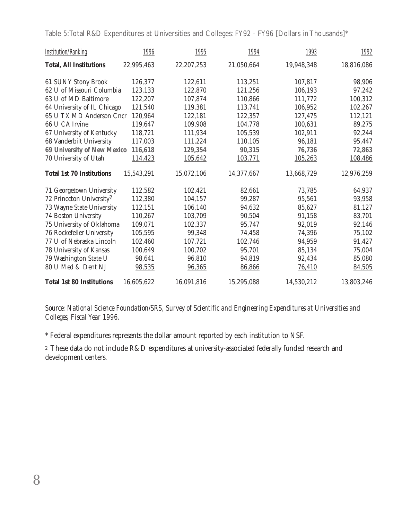Table 5: Total R&D Expenditures at Universities and Colleges: FY92 - FY96 [Dollars in Thousands]\*

| <b>Institution/Ranking</b>           | 1996       | 1995       | 1994       | 1993       | 1992       |
|--------------------------------------|------------|------------|------------|------------|------------|
| <b>Total, All Institutions</b>       | 22,995,463 | 22,207,253 | 21,050,664 | 19,948,348 | 18,816,086 |
| 61 SUNY Stony Brook                  | 126,377    | 122,611    | 113,251    | 107,817    | 98,906     |
| 62 U of Missouri Columbia            | 123,133    | 122,870    | 121,256    | 106,193    | 97,242     |
| 63 U of MD Baltimore                 | 122,207    | 107,874    | 110,866    | 111,772    | 100,312    |
| 64 University of IL Chicago          | 121,540    | 119,381    | 113,741    | 106,952    | 102,267    |
| 65 U TX MD Anderson Cncr             | 120,964    | 122,181    | 122,357    | 127,475    | 112,121    |
| 66 U CA Irvine                       | 119,647    | 109,908    | 104,778    | 100,631    | 89,275     |
| 67 University of Kentucky            | 118,721    | 111,934    | 105,539    | 102,911    | 92,244     |
| 68 Vanderbilt University             | 117,003    | 111,224    | 110,105    | 96,181     | 95,447     |
| <b>69 University of New Mexico</b>   | 116,618    | 129,354    | 90,315     | 76,736     | 72,863     |
| 70 University of Utah                | 114,423    | 105,642    | 103,771    | 105,263    | 108,486    |
| <b>Total 1st 70 Institutions</b>     | 15,543,291 | 15,072,106 | 14,377,667 | 13,668,729 | 12,976,259 |
| 71 Georgetown University             | 112,582    | 102,421    | 82,661     | 73,785     | 64,937     |
| 72 Princeton University <sup>2</sup> | 112,380    | 104,157    | 99,287     | 95,561     | 93,958     |
| 73 Wayne State University            | 112,151    | 106,140    | 94,632     | 85,627     | 81,127     |
| 74 Boston University                 | 110,267    | 103,709    | 90,504     | 91,158     | 83,701     |
| 75 University of Oklahoma            | 109,071    | 102,337    | 95,747     | 92,019     | 92,146     |
| 76 Rockefeller University            | 105,595    | 99,348     | 74,458     | 74,396     | 75,102     |
| 77 U of Nebraska Lincoln             | 102,460    | 107,721    | 102,746    | 94,959     | 91,427     |
| 78 University of Kansas              | 100,649    | 100,702    | 95,701     | 85,134     | 75,004     |
| 79 Washington State U                | 98,641     | 96,810     | 94,819     | 92,434     | 85,080     |
| 80 U Med & Dent NJ                   | 98,535     | 96,365     | 86,866     | 76,410     | 84,505     |
| <b>Total 1st 80 Institutions</b>     | 16,605,622 | 16,091,816 | 15,295,088 | 14,530,212 | 13,803,246 |

*Source: National Science Foundation/SRS, Survey of Scientific and Engineering Expenditures at Universities and Colleges, Fiscal Year 1996.*

\* Federal expenditures represents the dollar amount reported by each institution to NSF.

2 These data do not include R&D expenditures at university-associated federally funded research and development centers.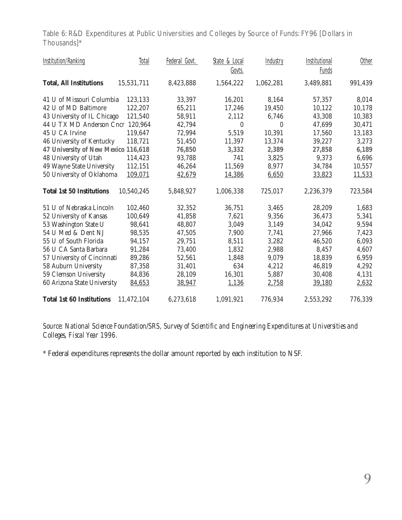Table 6: R&D Expenditures at Public Universities and Colleges by Source of Funds: FY96 [Dollars in Thousands]\*

| <b>Institution/Ranking</b>          | <b>Total</b> | Federal Govt. | State & Local<br>Govts. | Industry  | Institutional<br>Funds | Other   |
|-------------------------------------|--------------|---------------|-------------------------|-----------|------------------------|---------|
| <b>Total, All Institutions</b>      | 15,531,711   | 8,423,888     | 1,564,222               | 1,062,281 | 3,489,881              | 991,439 |
| 41 U of Missouri Columbia           | 123,133      | 33,397        | 16,201                  | 8,164     | 57,357                 | 8,014   |
| 42 U of MD Baltimore                | 122,207      | 65,211        | 17,246                  | 19,450    | 10,122                 | 10,178  |
| 43 University of IL Chicago         | 121,540      | 58,911        | 2,112                   | 6,746     | 43,308                 | 10,383  |
| 44 U TX MD Anderson Cncr 120,964    |              | 42,794        | $\mathbf{0}$            | $\Omega$  | 47,699                 | 30,471  |
| 45 U CA Irvine                      | 119,647      | 72,994        | 5,519                   | 10,391    | 17,560                 | 13,183  |
| 46 University of Kentucky           | 118,721      | 51,450        | 11,397                  | 13,374    | 39,227                 | 3,273   |
| 47 University of New Mexico 116,618 |              | 76,850        | 3,332                   | 2,389     | 27,858                 | 6,189   |
| 48 University of Utah               | 114,423      | 93,788        | 741                     | 3,825     | 9,373                  | 6,696   |
| 49 Wayne State University           | 112,151      | 46,264        | 11,569                  | 8,977     | 34,784                 | 10,557  |
| 50 University of Oklahoma           | 109,071      | 42,679        | 14,386                  | 6,650     | 33,823                 | 11,533  |
| <b>Total 1st 50 Institutions</b>    | 10,540,245   | 5,848,927     | 1,006,338               | 725,017   | 2,236,379              | 723,584 |
| 51 U of Nebraska Lincoln            | 102,460      | 32,352        | 36,751                  | 3,465     | 28,209                 | 1,683   |
| 52 University of Kansas             | 100,649      | 41,858        | 7,621                   | 9,356     | 36,473                 | 5,341   |
| 53 Washington State U               | 98,641       | 48,807        | 3,049                   | 3,149     | 34,042                 | 9,594   |
| 54 U Med & Dent NJ                  | 98,535       | 47,505        | 7,900                   | 7,741     | 27,966                 | 7,423   |
| 55 U of South Florida               | 94,157       | 29,751        | 8,511                   | 3,282     | 46,520                 | 6,093   |
| 56 U CA Santa Barbara               | 91,284       | 73,400        | 1,832                   | 2,988     | 8,457                  | 4,607   |
| 57 University of Cincinnati         | 89,286       | 52,561        | 1,848                   | 9,079     | 18,839                 | 6,959   |
| 58 Auburn University                | 87,358       | 31,401        | 634                     | 4,212     | 46,819                 | 4,292   |
| 59 Clemson University               | 84,836       | 28,109        | 16,301                  | 5,887     | 30,408                 | 4,131   |
| 60 Arizona State University         | 84,653       | 38,947        | 1,136                   | 2,758     | 39,180                 | 2,632   |
| <b>Total 1st 60 Institutions</b>    | 11,472,104   | 6,273,618     | 1,091,921               | 776,934   | 2,553,292              | 776,339 |

*Source: National Science Foundation/SRS, Survey of Scientific and Engineering Expenditures at Universities and Colleges, Fiscal Year 1996.*

\* Federal expenditures represents the dollar amount reported by each institution to NSF.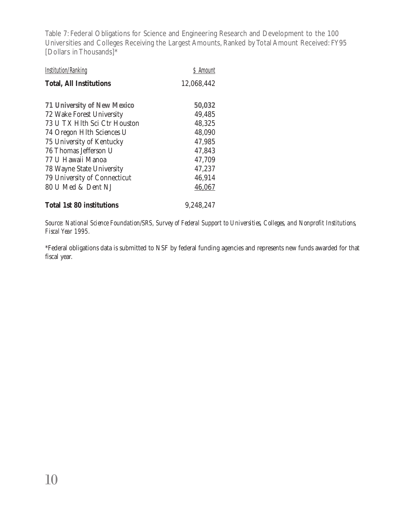Table 7: Federal Obligations for Science and Engineering Research and Development to the 100 Universities and Colleges Receiving the Largest Amounts, Ranked by Total Amount Received: FY95 [Dollars in Thousands]\*

| <b>Institution/Ranking</b>         | \$ Amount  |
|------------------------------------|------------|
| <b>Total, All Institutions</b>     | 12,068,442 |
|                                    |            |
| <b>71 University of New Mexico</b> | 50,032     |
| 72 Wake Forest University          | 49,485     |
| 73 U TX Hlth Sci Ctr Houston       | 48,325     |
| 74 Oregon Hlth Sciences U          | 48,090     |
| 75 University of Kentucky          | 47,985     |
| 76 Thomas Jefferson U              | 47,843     |
| 77 U Hawaii Manoa                  | 47,709     |
| 78 Wayne State University          | 47,237     |
| 79 University of Connecticut       | 46,914     |
| 80 U Med & Dent NJ                 | 46,067     |
| <b>Total 1st 80 institutions</b>   | 9,248,247  |

*Source: National Science Foundation/SRS, Survey of Federal Support to Universities, Colleges, and Nonprofit Institutions, Fiscal Year 1995.*

\*Federal obligations data is submitted to NSF by federal funding agencies and represents new funds awarded for that fiscal year.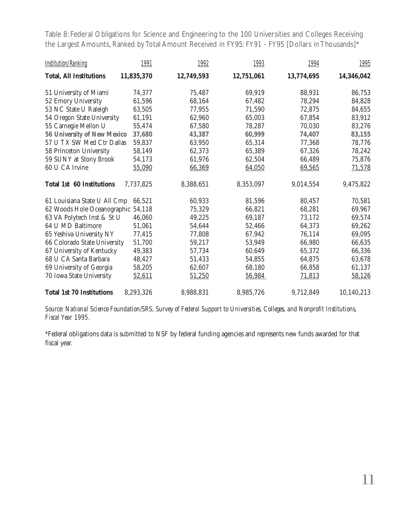Table 8: Federal Obligations for Science and Engineering to the 100 Universities and Colleges Receiving the Largest Amounts, Ranked by Total Amount Received in FY95: FY91 - FY95 [Dollars in Thousands]\*

| <b>Institution/Ranking</b>         | 1991       | 1992       | 1993       | 1994       | <u> 1995</u> |
|------------------------------------|------------|------------|------------|------------|--------------|
| <b>Total, All Institutions</b>     | 11,835,370 | 12,749,593 | 12,751,061 | 13,774,695 | 14,346,042   |
| 51 University of Miami             | 74,377     | 75,487     | 69,919     | 88,931     | 86,753       |
| 52 Emory University                | 61,596     | 68,164     | 67,482     | 78,294     | 84,828       |
| 53 NC State U Raleigh              | 63,505     | 77,955     | 71,590     | 72,875     | 84,655       |
| 54 Oregon State University         | 61,191     | 62,960     | 65,003     | 67,854     | 83,912       |
| 55 Carnegie Mellon U               | 55,474     | 67,580     | 78,287     | 70,030     | 83,276       |
| <b>56 University of New Mexico</b> | 37,680     | 43,387     | 60,999     | 74,407     | 83,155       |
| 57 U TX SW Med Ctr Dallas          | 59,837     | 63,950     | 65,314     | 77,368     | 78,776       |
| 58 Princeton University            | 58,149     | 62,373     | 65,389     | 67,326     | 78,242       |
| 59 SUNY at Stony Brook             | 54,173     | 61,976     | 62,504     | 66,489     | 75,876       |
| 60 U CA Irvine                     | 55,090     | 66,369     | 64,050     | 69,565     | 71,578       |
| <b>Total 1st 60 Institutions</b>   | 7,737,825  | 8,388,651  | 8,353,097  | 9,014,554  | 9,475,822    |
| 61 Louisiana State U All Cmp       | 66,521     | 60,933     | 81,596     | 80,457     | 70,581       |
| 62 Woods Hole Oceanographic 54,118 |            | 75,329     | 66,821     | 68,281     | 69,967       |
| 63 VA Polytech Inst & St U         | 46,060     | 49,225     | 69,187     | 73,172     | 69,574       |
| 64 U MD Baltimore                  | 51,061     | 54,644     | 52,466     | 64,373     | 69,262       |
| 65 Yeshiva University NY           | 77,415     | 77,808     | 67,942     | 76,114     | 69,095       |
| 66 Colorado State University       | 51,700     | 59,217     | 53,949     | 66,980     | 66,635       |
| 67 University of Kentucky          | 49,383     | 57,734     | 60,649     | 65,372     | 66,336       |
| 68 U CA Santa Barbara              | 48,427     | 51,433     | 54,855     | 64,875     | 63,678       |
| 69 University of Georgia           | 58,205     | 62,607     | 68,180     | 66,858     | 61,137       |
| 70 Iowa State University           | 52,611     | 51,250     | 56,984     | 71,813     | 58,126       |
| <b>Total 1st 70 Institutions</b>   | 8,293,326  | 8,988,831  | 8,985,726  | 9,712,849  | 10,140,213   |

*Source: National Science Foundation/SRS, Survey of Federal Support to Universities, Colleges, and Nonprofit Institutions, Fiscal Year 1995.*

\*Federal obligations data is submitted to NSF by federal funding agencies and represents new funds awarded for that fiscal year.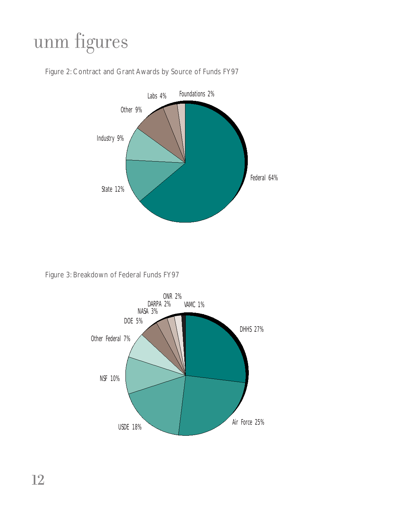## unm figures



Figure 2: Contract and Grant Awards by Source of Funds FY97

Figure 3: Breakdown of Federal Funds FY97

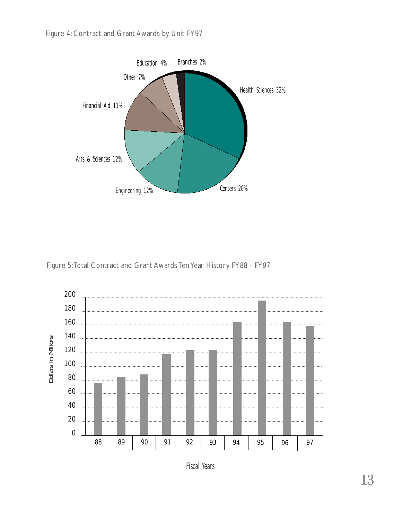

Figure 5:Total Contract and Grant Awards Ten Year History FY88 - FY97



Fiscal Years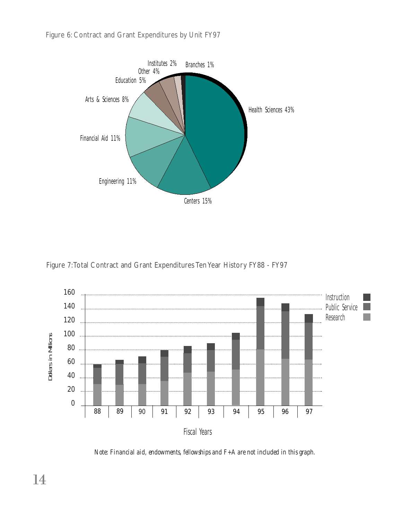Figure 6: Contract and Grant Expenditures by Unit FY97



Figure 7:Total Contract and Grant Expenditures Ten Year History FY88 - FY97



*Note: Financial aid, endowments, fellowships and F+A are not included in this graph.*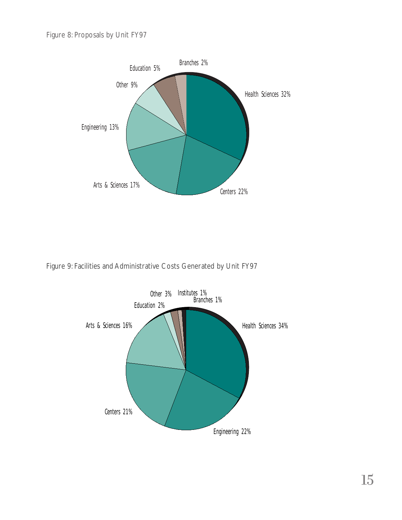

Figure 9: Facilities and Administrative Costs Generated by Unit FY97

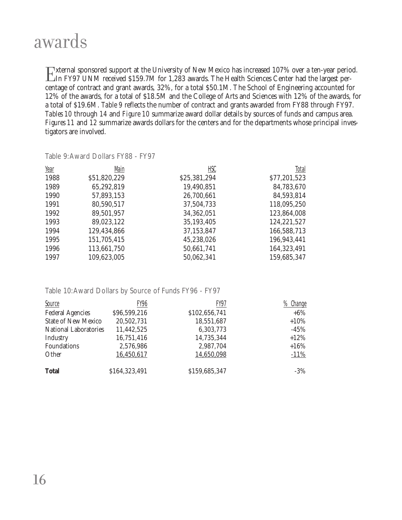### awards

External sponsored support at the University of New Mexico has increased 107% over a ten-year period.<br>
In FY97 UNM received \$159.7M for 1,283 awards. The Health Sciences Center had the largest per-<br>
centage of contract and centage of contract and grant awards, 32%, for a total \$50.1M. The School of Engineering accounted for 12% of the awards, for a total of \$18.5M and the College of Arts and Sciences with 12% of the awards, for a total of \$19.6M. *Table 9* reflects the number of contract and grants awarded from FY88 through FY97. *Tables 10* through *14* and *Figure 10* summarize award dollar details by sources of funds and campus area. *Figures 11* and *12* summarize awards dollars for the centers and for the departments whose principal investigators are involved.

| Year | Main         | <b>HSC</b>   | Total        |
|------|--------------|--------------|--------------|
| 1988 | \$51,820,229 | \$25,381,294 | \$77,201,523 |
| 1989 | 65,292,819   | 19,490,851   | 84,783,670   |
| 1990 | 57,893,153   | 26,700,661   | 84,593,814   |
| 1991 | 80,590,517   | 37,504,733   | 118,095,250  |
| 1992 | 89,501,957   | 34,362,051   | 123,864,008  |
| 1993 | 89,023,122   | 35,193,405   | 124,221,527  |
| 1994 | 129,434,866  | 37,153,847   | 166,588,713  |
| 1995 | 151,705,415  | 45,238,026   | 196,943,441  |
| 1996 | 113,661,750  | 50,661,741   | 164,323,491  |
| 1997 | 109,623,005  | 50,062,341   | 159,685,347  |

Table 9:Award Dollars FY88 - FY97

Table 10:Award Dollars by Source of Funds FY96 - FY97

| Source                       | FY96          | FY97          | % Change |
|------------------------------|---------------|---------------|----------|
| <b>Federal Agencies</b>      | \$96,599,216  | \$102,656,741 | $+6\%$   |
| <b>State of New Mexico</b>   | 20,502,731    | 18,551,687    | $+10\%$  |
| <b>National Laboratories</b> | 11,442,525    | 6,303,773     | $-45\%$  |
| Industry                     | 16,751,416    | 14,735,344    | $+12%$   |
| Foundations                  | 2,576,986     | 2,987,704     | $+16%$   |
| Other                        | 16,450,617    | 14,650,098    | $-11\%$  |
| <b>Total</b>                 | \$164,323,491 | \$159,685,347 | $-3%$    |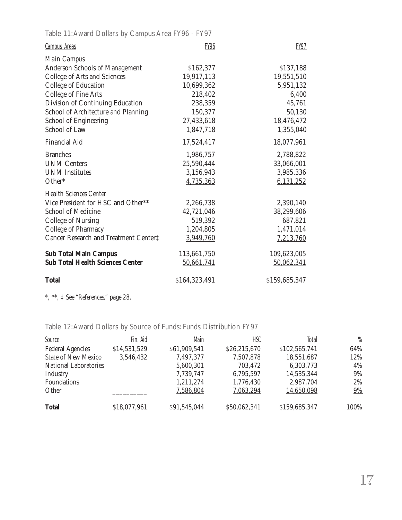Table 11:Award Dollars by Campus Area FY96 - FY97

| <b>Campus Areas</b>                     | <b>FY96</b>   | <b>FY97</b>   |
|-----------------------------------------|---------------|---------------|
| <b>Main Campus</b>                      |               |               |
| <b>Anderson Schools of Management</b>   | \$162,377     | \$137,188     |
| College of Arts and Sciences            | 19,917,113    | 19,551,510    |
| College of Education                    | 10,699,362    | 5,951,132     |
| <b>College of Fine Arts</b>             | 218,402       | 6,400         |
| Division of Continuing Education        | 238,359       | 45,761        |
| School of Architecture and Planning     | 150,377       | 50,130        |
| <b>School of Engineering</b>            | 27,433,618    | 18,476,472    |
| School of Law                           | 1,847,718     | 1,355,040     |
| <b>Financial Aid</b>                    | 17,524,417    | 18,077,961    |
| <b>Branches</b>                         | 1,986,757     | 2,788,822     |
| <b>UNM Centers</b>                      | 25,590,444    | 33,066,001    |
| <b>UNM</b> Institutes                   | 3,156,943     | 3,985,336     |
| Other*                                  | 4,735,363     | 6,131,252     |
| <b>Health Sciences Center</b>           |               |               |
| Vice President for HSC and Other**      | 2,266,738     | 2,390,140     |
| <b>School of Medicine</b>               | 42,721,046    | 38,299,606    |
| College of Nursing                      | 519,392       | 687,821       |
| College of Pharmacy                     | 1,204,805     | 1,471,014     |
| Cancer Research and Treatment Center‡   | 3,949,760     | 7,213,760     |
| <b>Sub Total Main Campus</b>            | 113,661,750   | 109,623,005   |
| <b>Sub Total Health Sciences Center</b> | 50,661,741    | 50,062,341    |
| <b>Total</b>                            | \$164,323,491 | \$159,685,347 |

*\*, \*\*, ‡ See "References," page 28.*

Table 12:Award Dollars by Source of Funds: Funds Distribution FY97

| Source                       | Fin. Aid     | Main         | HSC          | Total         | $\frac{\%}{\%}$ |
|------------------------------|--------------|--------------|--------------|---------------|-----------------|
| <b>Federal Agencies</b>      | \$14,531,529 | \$61,909,541 | \$26,215,670 | \$102,565,741 | 64%             |
| <b>State of New Mexico</b>   | 3,546,432    | 7,497,377    | 7,507,878    | 18,551,687    | 12%             |
| <b>National Laboratories</b> |              | 5,600,301    | 703,472      | 6,303,773     | 4%              |
| Industry                     |              | 7,739,747    | 6,795,597    | 14,535,344    | $9\%$           |
| Foundations                  |              | 1,211,274    | 1,776,430    | 2,987,704     | 2%              |
| Other                        |              | 7,586,804    | 7,063,294    | 14,650,098    | 9%              |
| <b>Total</b>                 | \$18,077,961 | \$91,545,044 | \$50,062,341 | \$159,685,347 | 100%            |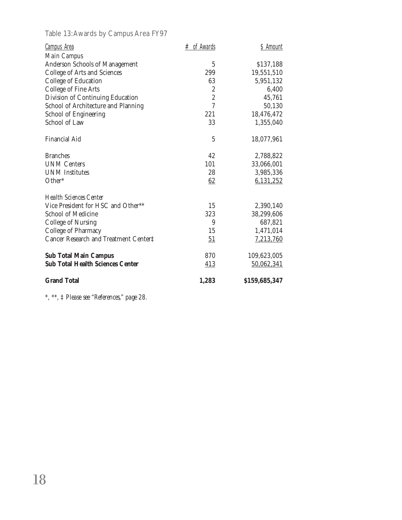Table 13:Awards by Campus Area FY97

| <b>Campus Area</b>                      | $#$ of Awards  | \$ Amount     |
|-----------------------------------------|----------------|---------------|
| Main Campus                             |                |               |
| Anderson Schools of Management          | $\overline{5}$ | \$137,188     |
| College of Arts and Sciences            | 299            | 19,551,510    |
| College of Education                    | 63             | 5,951,132     |
| <b>College of Fine Arts</b>             | 2              | 6,400         |
| Division of Continuing Education        | $\overline{c}$ | 45,761        |
| School of Architecture and Planning     | $\overline{7}$ | 50,130        |
| School of Engineering                   | 221            | 18,476,472    |
| <b>School of Law</b>                    | 33             | 1,355,040     |
| <b>Financial Aid</b>                    | $\overline{5}$ | 18,077,961    |
| <b>Branches</b>                         | 42             | 2,788,822     |
| <b>UNM Centers</b>                      | 101            | 33,066,001    |
| <b>UNM</b> Institutes                   | 28             | 3,985,336     |
| Other*                                  | 62             | 6,131,252     |
| <b>Health Sciences Center</b>           |                |               |
| Vice President for HSC and Other**      | 15             | 2,390,140     |
| <b>School of Medicine</b>               | 323            | 38,299,606    |
| <b>College of Nursing</b>               | 9              | 687,821       |
| College of Pharmacy                     | 15             | 1,471,014     |
| Cancer Research and Treatment Center‡   | 51             | 7,213,760     |
| <b>Sub Total Main Campus</b>            | 870            | 109,623,005   |
| <b>Sub Total Health Sciences Center</b> | 413            | 50,062,341    |
| <b>Grand Total</b>                      | 1,283          | \$159,685,347 |

*\*, \*\*, ‡ Please see "References," page 28.*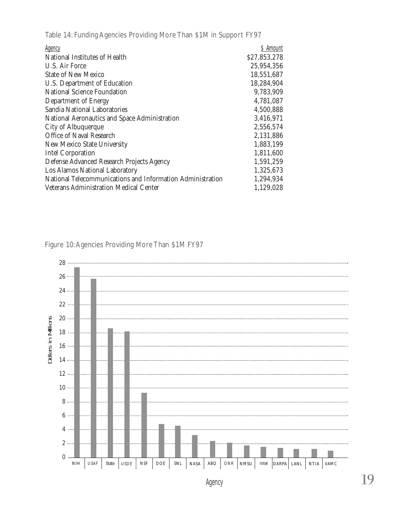Table 14: Funding Agencies Providing More Than \$1M in Support FY97

| <b>Agency</b>                                              | \$ Amount    |
|------------------------------------------------------------|--------------|
| National Institutes of Health                              | \$27,853,278 |
| U.S. Air Force                                             | 25,954,356   |
| <b>State of New Mexico</b>                                 | 18,551,687   |
| U.S. Department of Education                               | 18,284,904   |
| <b>National Science Foundation</b>                         | 9,783,909    |
| Department of Energy                                       | 4,781,087    |
| Sandia National Laboratories                               | 4,500,888    |
| National Aeronautics and Space Administration              | 3,416,971    |
| City of Albuquerque                                        | 2,556,574    |
| Office of Naval Research                                   | 2,131,886    |
| New Mexico State University                                | 1,883,199    |
| <b>Intel Corporation</b>                                   | 1,811,600    |
| Defense Advanced Research Projects Agency                  | 1,591,259    |
| Los Alamos National Laboratory                             | 1,325,673    |
| National Telecommunications and Information Administration | 1,294,934    |
| Veterans Administration Medical Center                     | 1,129,028    |

Figure 10:Agencies Providing More Than \$1M FY97

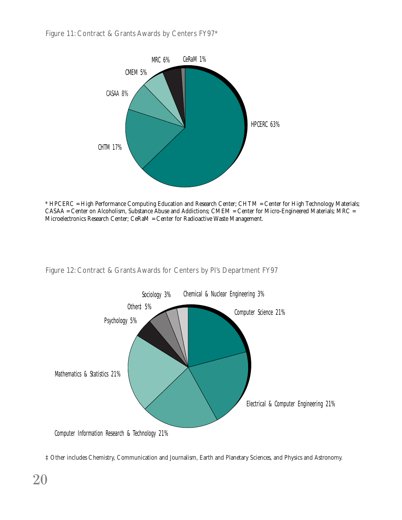

\* HPCERC = High Performance Computing Education and Research Center; CHTM = Center for High Technology Materials; CASAA = Center on Alcoholism, Substance Abuse and Addictions; CMEM = Center for Micro-Engineered Materials; MRC = Microelectronics Research Center; CeRaM = Center for Radioactive Waste Management.

Figure 12: Contract & Grants Awards for Centers by PI's Department FY97



<sup>‡</sup> Other includes Chemistry, Communication and Journalism, Earth and Planetary Sciences, and Physics and Astronomy.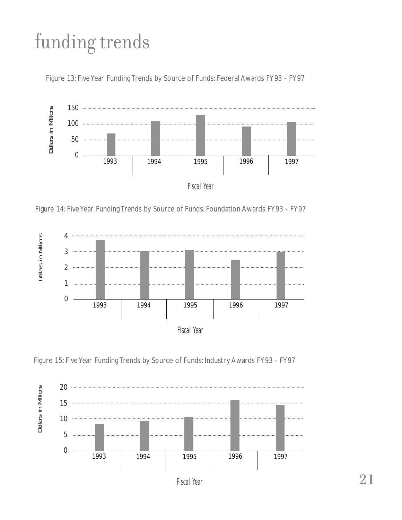## funding trends





Figure 14: Five Year Funding Trends by Source of Funds: Foundation Awards FY93 - FY97



Figure 15: Five Year Funding Trends by Source of Funds: Industry Awards FY93 - FY97

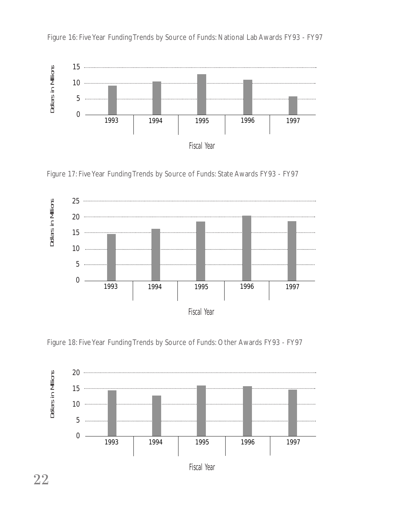

Figure 16: Five Year Funding Trends by Source of Funds: National Lab Awards FY93 - FY97







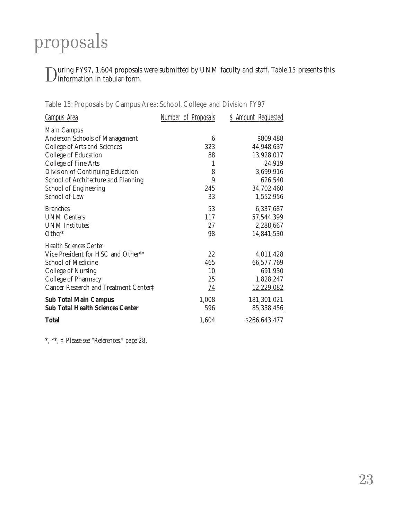## proposals

During FY97, 1,604 proposals were submitted by UNM faculty and staff. *Table 15* presents this information in tabular form.

| <b>Campus Area</b>                      | <u>Number of Proposals</u> | <b>\$ Amount Requested</b> |
|-----------------------------------------|----------------------------|----------------------------|
| <b>Main Campus</b>                      |                            |                            |
| <b>Anderson Schools of Management</b>   | 6                          | \$809,488                  |
| College of Arts and Sciences            | 323                        | 44,948,637                 |
| College of Education                    | 88                         | 13,928,017                 |
| College of Fine Arts                    | 1                          | 24,919                     |
| Division of Continuing Education        | 8                          | 3,699,916                  |
| School of Architecture and Planning     | 9                          | 626,540                    |
| <b>School of Engineering</b>            | 245                        | 34,702,460                 |
| School of Law                           | 33                         | 1,552,956                  |
| <b>Branches</b>                         | 53                         | 6,337,687                  |
| <b>UNM Centers</b>                      | 117                        | 57,544,399                 |
| <b>UNM</b> Institutes                   | 27                         | 2,288,667                  |
| Other <sup>*</sup>                      | 98                         | 14,841,530                 |
| <b>Health Sciences Center</b>           |                            |                            |
| Vice President for HSC and Other**      | 22                         | 4,011,428                  |
| <b>School of Medicine</b>               | 465                        | 66,577,769                 |
| College of Nursing                      | 10                         | 691,930                    |
| College of Pharmacy                     | 25                         | 1,828,247                  |
| Cancer Research and Treatment Center‡   | <u>74</u>                  | 12,229,082                 |
| <b>Sub Total Main Campus</b>            | 1,008                      | 181,301,021                |
| <b>Sub Total Health Sciences Center</b> | 596                        | 85,338,456                 |
| <b>Total</b>                            | 1,604                      | \$266,643,477              |

Table 15: Proposals by Campus Area: School, College and Division FY97

*\*, \*\*, ‡ Please see "References," page 28.*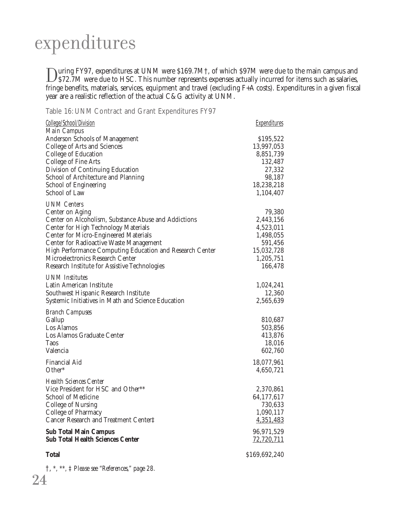## expenditures

During FY97, expenditures at UNM were \$169.7M†, of which \$97M were due to the main campus and<br>\$72.7M were due to HSC. This number represents expenses actually incurred for items such as salaries,<br> $F_{\text{kin}}$  as salaries,  $F$ fringe benefits, materials, services, equipment and travel (excluding F+A costs). Expenditures in a given fiscal year are a realistic reflection of the actual C&G activity at UNM.

Table 16: UNM Contract and Grant Expenditures FY97

| College/School/Division                                                       | <b>Expenditures</b> |
|-------------------------------------------------------------------------------|---------------------|
| <b>Main Campus</b><br><b>Anderson Schools of Management</b>                   | \$195,522           |
| College of Arts and Sciences                                                  | 13,997,053          |
| College of Education                                                          | 8,851,739           |
| College of Fine Arts                                                          | 132,487             |
| Division of Continuing Education                                              | 27,332              |
| School of Architecture and Planning                                           | 98,187              |
| School of Engineering                                                         | 18,238,218          |
| <b>School of Law</b>                                                          | 1,104,407           |
| <b>UNM</b> Centers                                                            |                     |
| Center on Aging                                                               | 79,380              |
| Center on Alcoholism, Substance Abuse and Addictions                          | 2,443,156           |
| <b>Center for High Technology Materials</b>                                   | 4,523,011           |
| <b>Center for Micro-Engineered Materials</b>                                  | 1,498,055           |
| Center for Radioactive Waste Management                                       | 591,456             |
| High Performance Computing Education and Research Center                      | 15,032,728          |
| Microelectronics Research Center                                              | 1,205,751           |
| Research Institute for Assistive Technologies                                 | 166,478             |
| <b>UNM</b> Institutes                                                         |                     |
| Latin American Institute                                                      | 1,024,241           |
| Southwest Hispanic Research Institute                                         | 12,360              |
| Systemic Initiatives in Math and Science Education                            | 2,565,639           |
| <b>Branch Campuses</b>                                                        |                     |
| Gallup                                                                        | 810,687             |
| Los Alamos                                                                    | 503,856             |
| Los Alamos Graduate Center                                                    | 413,876             |
| <b>Taos</b>                                                                   | 18,016              |
| Valencia                                                                      | 602,760             |
| <b>Financial Aid</b>                                                          | 18,077,961          |
| Other*                                                                        | 4,650,721           |
| <b>Health Sciences Center</b>                                                 |                     |
| Vice President for HSC and Other**                                            | 2,370,861           |
| <b>School of Medicine</b>                                                     | 64,177,617          |
| <b>College of Nursing</b>                                                     | 730,633             |
| College of Pharmacy                                                           | 1,090,117           |
| Cancer Research and Treatment Center‡                                         | 4,351,483           |
| <b>Sub Total Main Campus</b>                                                  | 96,971,529          |
| <b>Sub Total Health Sciences Center</b>                                       | 72,720,711          |
| <b>Total</b>                                                                  | \$169,692,240       |
| $\uparrow$ , $\ast$ , $\ast$ , $\downarrow$ Please see "References," page 28. |                     |

24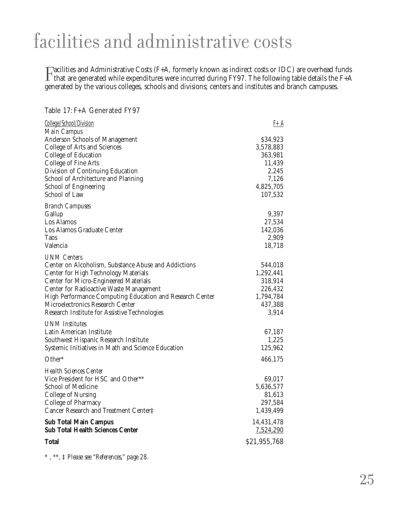## facilities and administrative costs

Facilities and Administrative Costs (F+A, formerly known as indirect costs or IDC) are overhead funds<br>that are generated while expenditures were incurred during FY97. The following table details the F+A<br>generated by the va generated by the various colleges, schools and divisions; centers and institutes and branch campuses.

#### Table 17: F+A Generated FY97 College/School/Division F+A *Main Campus* Anderson Schools of Management  $$34,923$ College of Arts and Sciences 3,578,883<br>College of Education 363,981 College of Education College of Fine Arts 11,439 Division of Continuing Education 2,245 School of Architecture and Planning 7,126 School of Engineering 4,825,705 School of Law 107,532 *Branch Campuses* Gallup 9,397 Los Alamos 27,534 Los Alamos Graduate Center 142,036<br>
Taos 12,909 Taos 2,909 Valencia 18,718 *UNM Centers* Center on Alcoholism, Substance Abuse and Addictions 544,018<br>Center for High Technology Materials 1,292,441 Center for High Technology Materials 1,292,441<br>Center for Micro-Engineered Materials 318,914 Center for Micro-Engineered Materials 318,914<br>
Center for Radioactive Waste Management 226,432 Center for Radioactive Waste Management<br>
High Performance Computing Education and Research Center
1.794.784 High Performance Computing Education and Research Center 1,794,784<br>Microelectronics Research Center 437.388 Microelectronics Research Center 437,388<br>Research Institute for Assistive Technologies 3.914 Research Institute for Assistive Technologies *UNM Institutes* Latin American Institute 67,187 Southwest Hispanic Research Institute 1,225 Systemic Initiatives in Math and Science Education 125,962 Other\* 466,175 *Health Sciences Center* Vice President for HSC and Other\*\* 69,017<br>School of Medicine 5.636,577 School of Medicine 5,636,577<br>College of Nursing 81.613 College of Nursing 81,613<br>College of Pharmacy 81,613<br>297.584 College of Pharmacy Cancer Research and Treatment Center‡ 1,439,499 **Sub Total Main Campus** 14,431,478<br> **Sub Total Health Sciences Center** 2,524,290 **Sub Total Health Sciences Center Total**  $\begin{array}{c} $21.955.768 \ \end{array}$

*\* , \*\*, ‡ Please see "References," page 28.*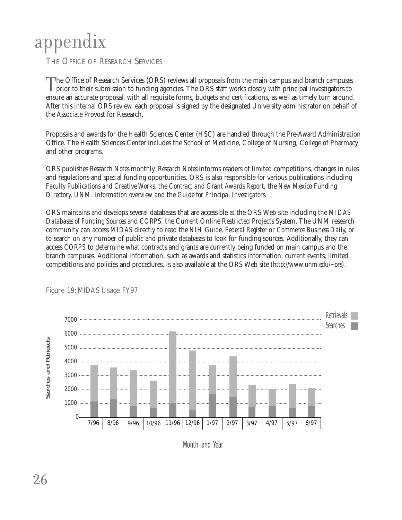# appendix

THE OFFICE OF RESEARCH SERVICES

The Office of Research Services (ORS) reviews all proposals from the main campus and branch campuses<br>prior to their submission to funding agencies. The ORS staff works closely with principal investigators to<br>ensure an accu ensure an accurate proposal, with all requisite forms, budgets and certifications, as well as timely turn around. After this internal ORS review, each proposal is signed by the designated University administrator on behalf of the Associate Provost for Research.

Proposals and awards for the Health Sciences Center (HSC) are handled through the Pre-Award Administration Office. The Health Sciences Center includes the School of Medicine, College of Nursing, College of Pharmacy and other programs.

ORS publishes *Research Notes* monthly. *Research Notes* informs readers of limited competitions, changes in rules and regulations and special funding opportunities. ORS is also responsible for various publications including *Faculty Publications and Creative Works,* the *Contract and Grant Awards Report*, the *New Mexico Funding Directory, UNM: information overview and* the *Guide for Principal Investigators.* 

ORS maintains and develops several databases that are accessible at the ORS Web site including the *MIDAS Databases of Funding Sources* and *CORPS,* the Current Online Restricted Projects System. The UNM research community can access *MIDAS* directly to read the *NIH Guide, Federal Register* or *Commerce Business Daily,* or to search on any number of public and private databases to look for funding sources. Additionally, they can access *CORPS* to determine what contracts and grants are currently being funded on main campus and the branch campuses. Additional information, such as awards and statistics information, current events, limited competitions and policies and procedures, is also available at the ORS Web site *(http://www.unm.edu/~ors)*.



Figure 19: MIDAS Usage FY97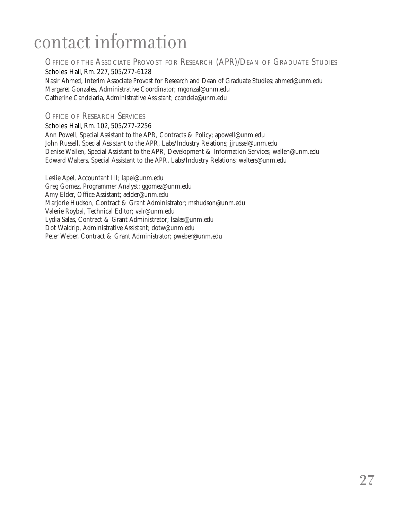## contact information

#### OFFICE OF THE ASSOCIATE PROVOST FOR RESEARCH (APR)/DEAN OF GRADUATE STUDIES

Scholes Hall, Rm. 227, 505/277-6128 Nasir Ahmed, Interim Associate Provost for Research and Dean of Graduate Studies; ahmed@unm.edu Margaret Gonzales, Administrative Coordinator; mgonzal@unm.edu Catherine Candelaria, Administrative Assistant; ccandela@unm.edu

#### OFFICE OF RESEARCH SERVICES

Scholes Hall, Rm. 102, 505/277-2256

Ann Powell, Special Assistant to the APR, Contracts & Policy; apowell@unm.edu John Russell, Special Assistant to the APR, Labs/Industry Relations; jjrussel@unm.edu Denise Wallen, Special Assistant to the APR, Development & Information Services; wallen@unm.edu Edward Walters, Special Assistant to the APR, Labs/Industry Relations; walters@unm.edu

Leslie Apel, Accountant III; lapel@unm.edu Greg Gomez, Programmer Analyst; ggomez@unm.edu Amy Elder, Office Assistant; aelder@unm.edu Marjorie Hudson, Contract & Grant Administrator; mshudson@unm.edu Valerie Roybal, Technical Editor; valr@unm.edu Lydia Salas, Contract & Grant Administrator; lsalas@unm.edu Dot Waldrip, Administrative Assistant; dotw@unm.edu Peter Weber, Contract & Grant Administrator; pweber@unm.edu